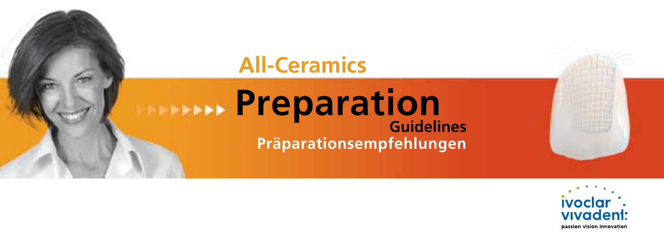# **All-Ceramics Preparation Guidelines Präparationsempfehlungen**

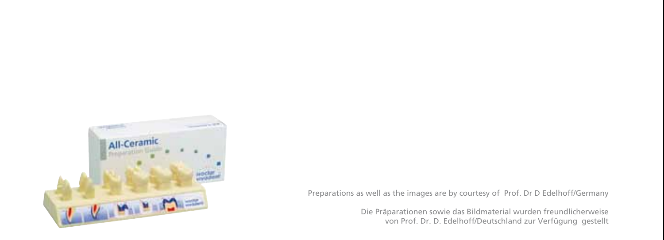

Preparations as well as the images are by courtesy of Prof. Dr D Edelhoff/Germany

Die Präparationen sowie das Bildmaterial wurden freundlicherweise von Prof. Dr. D. Edelhoff/Deutschland zur Verfügung gestellt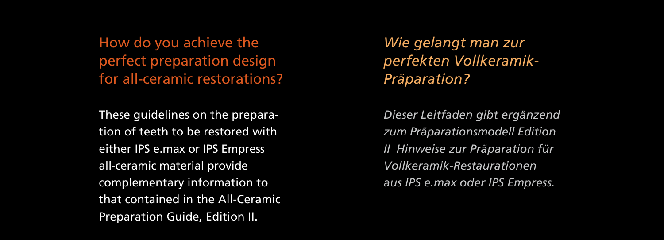How do you achieve the perfect preparation design for all-ceramic restorations?

These guidelines on the preparation of teeth to be restored with either IPS e.max or IPS Empress all-ceramic material provide complementary information to that contained in the All-Ceramic Preparation Guide, Edition II.

*Wie gelangt man zur perfekten Vollkeramik-Präparation?*

*Dieser Leitfaden gibt ergänzend zum Präparationsmodell Edition II Hinweise zur Präparation für Vollkeramik-Restaurationen aus IPS e.max oder IPS Empress.*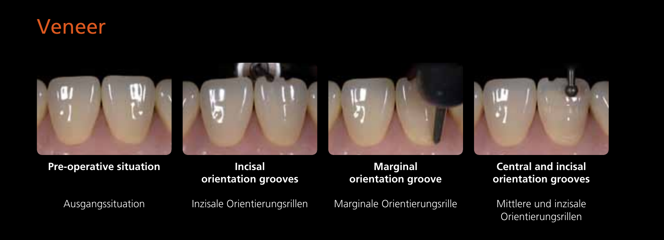



**Pre-operative situation**

#### **Incisal orientation grooves**

#### **Marginal orientation groove**

Ausgangssituation

Inzisale Orientierungsrillen

Marginale Orientierungsrille

**Central and incisal orientation grooves**

Mittlere und inzisale Orientierungsrillen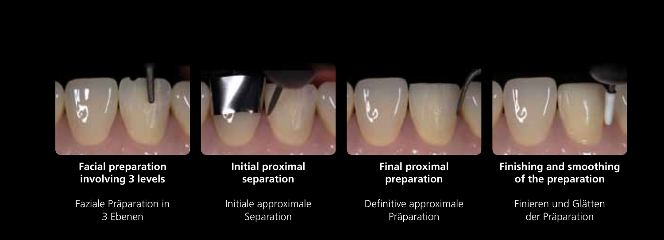





**Facial preparation involving 3 levels**

Faziale Präparation in 3 Ebenen

#### **Initial proximal separation**

Initiale approximale Separation

#### **Final proximal preparation**

Definitive approximale Präparation

**Finishing and smoothing of the preparation**

> Finieren und Glätten der Präparation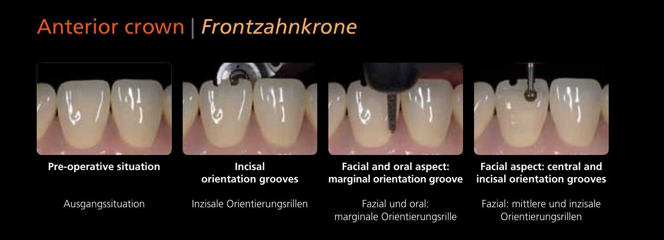## Anterior crown | *Frontzahnkrone*



**Pre-operative situation**

#### **Incisal orientation grooves**

**Facial and oral aspect: marginal orientation groove**

**Facial aspect: central and incisal orientation grooves**

Ausgangssituation

Inzisale Orientierungsrillen

Fazial und oral: marginale Orientierungsrille Fazial: mittlere und inzisale Orientierungsrillen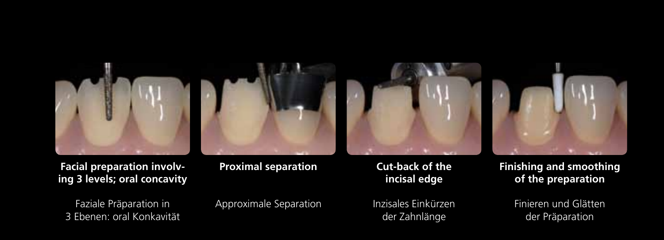

**Facial preparation involving 3 levels; oral concavity**

Faziale Präparation in 3 Ebenen: oral Konkavität **Proximal separation**

Approximale Separation

#### **Cut-back of the incisal edge**

Inzisales Einkürzen der Zahnlänge

**Finishing and smoothing of the preparation**

> Finieren und Glätten der Präparation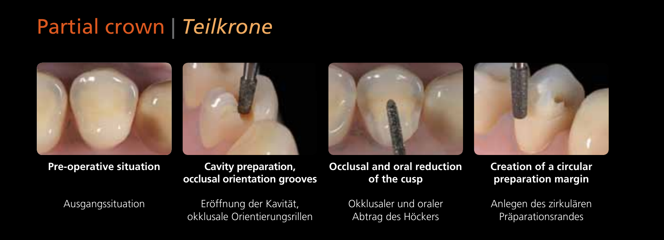## Partial crown | *Teilkrone*









**Pre-operative situation**

**Cavity preparation, occlusal orientation grooves**

#### Ausgangssituation

Eröffnung der Kavität, okklusale Orientierungsrillen

#### **Occlusal and oral reduction of the cusp**

Okklusaler und oraler Abtrag des Höckers

#### **Creation of a circular preparation margin**

Anlegen des zirkulären Präparationsrandes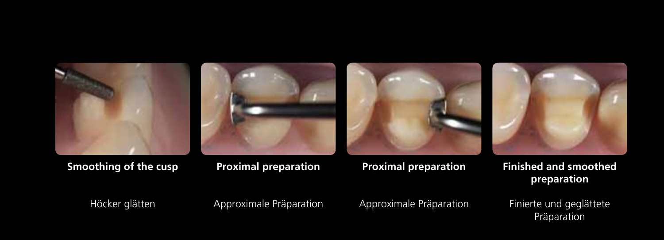







**Smoothing of the cusp**

#### **Proximal preparation**

### **Proximal preparation**

#### **Finished and smoothed preparation**

Höcker glätten

Approximale Präparation

Approximale Präparation

Finierte und geglättete Präparation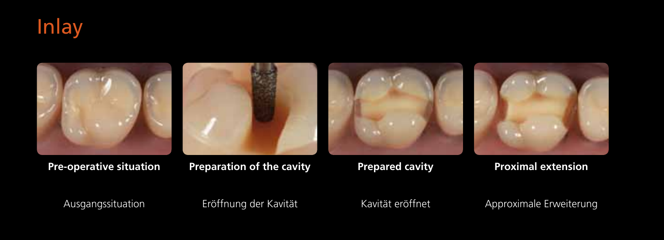



#### **Pre-operative situation**

#### **Preparation of the cavity**

### **Prepared cavity**

### **Proximal extension**



Eröffnung der Kavität

Kavität eröffnet

Approximale Erweiterung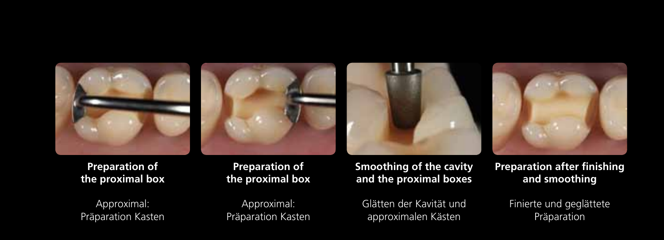







**Preparation of the proximal box** 

Approximal: Präparation Kasten

**Preparation of the proximal box** 

Approximal: Präparation Kasten **Smoothing of the cavity and the proximal boxes**

Glätten der Kavität und approximalen Kästen

**Preparation after finishing and smoothing**

> Finierte und geglättete Präparation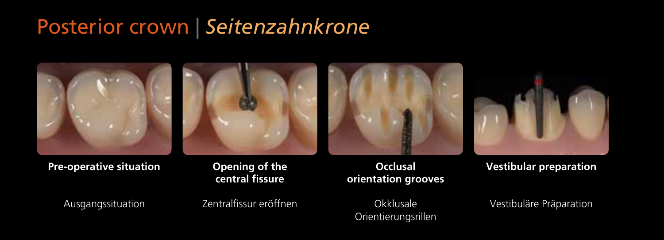### Posterior crown | *Seitenzahnkrone*









**Pre-operative situation**

#### **Opening of the central fissure**

Ausgangssituation

Zentralfissur eröffnen

#### **Occlusal orientation grooves**

**Okklusale** Orientierungsrillen **Vestibular preparation**

Vestibuläre Präparation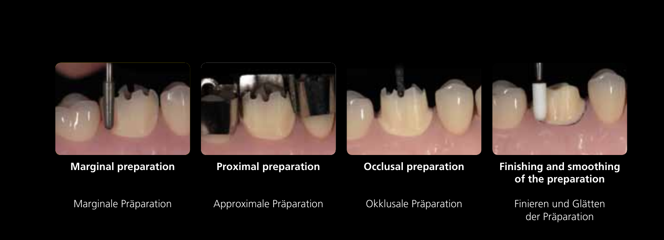







**Marginal preparation** 

#### **Proximal preparation**

#### **Occlusal preparation**

#### **Finishing and smoothing of the preparation**

Marginale Präparation

Approximale Präparation

Okklusale Präparation

Finieren und Glätten der Präparation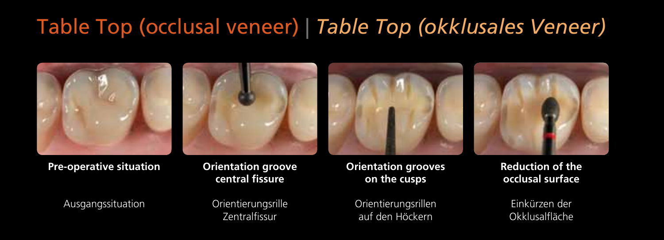### Table Top (occlusal veneer) | *Table Top (okklusales Veneer)*







Ausgangssituation

**Orientierungsrille** Zentralfissur

#### **Orientation grooves on the cusps**

Orientierungsrillen auf den Höckern

**Reduction of the occlusal surface**

Einkürzen der Okklusalfläche



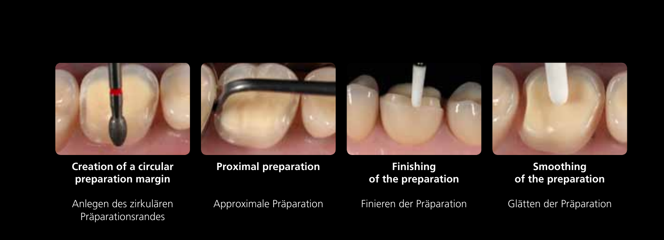







**Creation of a circular preparation margin**

Anlegen des zirkulären Präparationsrandes

**Proximal preparation** 

Approximale Präparation

#### **Finishing of the preparation**

Finieren der Präparation

**Smoothing of the preparation**

Glätten der Präparation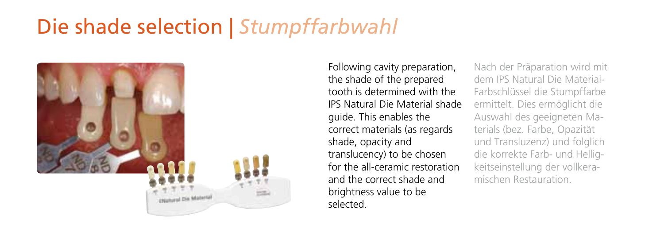# Die shade selection | *Stumpffarbwahl*



Following cavity preparation, the shade of the prepared tooth is determined with the IPS Natural Die Material shade guide. This enables the correct materials (as regards shade, opacity and translucency) to be chosen for the all-ceramic restoration and the correct shade and brightness value to be selected.

Nach der Präparation wird mit dem IPS Natural Die Material-Farbschlüssel die Stumpffarbe ermittelt. Dies ermöglicht die Auswahl des geeigneten Materials (bez. Farbe, Opazität und Transluzenz) und folglich die korrekte Farb- und Helligkeitseinstellung der vollkeramischen Restauration.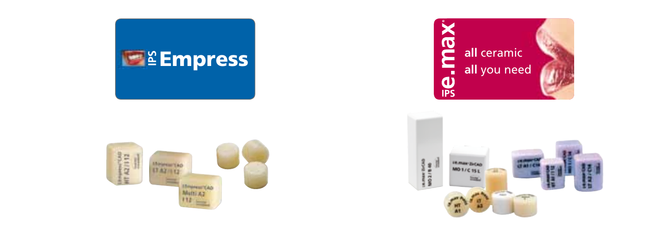